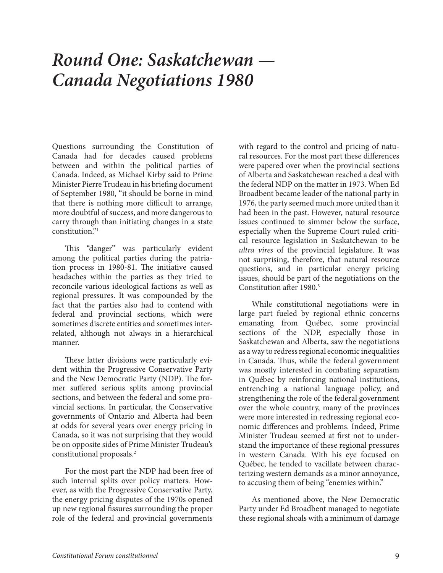## *Round One: Saskatchewan — Canada Negotiations 1980*

Questions surrounding the Constitution of Canada had for decades caused problems between and within the political parties of Canada. Indeed, as Michael Kirby said to Prime Minister Pierre Trudeau in his briefing document of September 1980, "it should be borne in mind that there is nothing more difficult to arrange, more doubtful of success, and more dangerous to carry through than initiating changes in a state constitution."1

This "danger" was particularly evident among the political parties during the patriation process in 1980-81. The initiative caused headaches within the parties as they tried to reconcile various ideological factions as well as regional pressures. It was compounded by the fact that the parties also had to contend with federal and provincial sections, which were sometimes discrete entities and sometimes interrelated, although not always in a hierarchical manner.

These latter divisions were particularly evident within the Progressive Conservative Party and the New Democratic Party (NDP). The former suffered serious splits among provincial sections, and between the federal and some provincial sections. In particular, the Conservative governments of Ontario and Alberta had been at odds for several years over energy pricing in Canada, so it was not surprising that they would be on opposite sides of Prime Minister Trudeau's constitutional proposals.2

For the most part the NDP had been free of such internal splits over policy matters. However, as with the Progressive Conservative Party, the energy pricing disputes of the 1970s opened up new regional fissures surrounding the proper role of the federal and provincial governments with regard to the control and pricing of natural resources. For the most part these differences were papered over when the provincial sections of Alberta and Saskatchewan reached a deal with the federal NDP on the matter in 1973. When Ed Broadbent became leader of the national party in 1976, the party seemed much more united than it had been in the past. However, natural resource issues continued to simmer below the surface, especially when the Supreme Court ruled critical resource legislation in Saskatchewan to be *ultra vires* of the provincial legislature. It was not surprising, therefore, that natural resource questions, and in particular energy pricing issues, should be part of the negotiations on the Constitution after 1980.3

While constitutional negotiations were in large part fueled by regional ethnic concerns emanating from Québec, some provincial sections of the NDP, especially those in Saskatchewan and Alberta, saw the negotiations as a way to redress regional economic inequalities in Canada. Thus, while the federal government was mostly interested in combating separatism in Québec by reinforcing national institutions, entrenching a national language policy, and strengthening the role of the federal government over the whole country, many of the provinces were more interested in redressing regional economic differences and problems. Indeed, Prime Minister Trudeau seemed at first not to understand the importance of these regional pressures in western Canada. With his eye focused on Québec, he tended to vacillate between characterizing western demands as a minor annoyance, to accusing them of being "enemies within."

As mentioned above, the New Democratic Party under Ed Broadbent managed to negotiate these regional shoals with a minimum of damage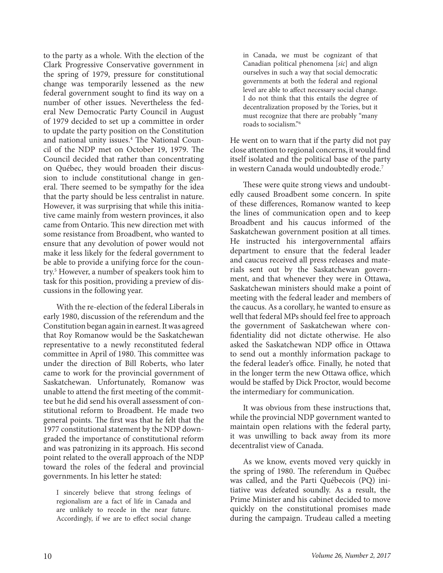to the party as a whole. With the election of the Clark Progressive Conservative government in the spring of 1979, pressure for constitutional change was temporarily lessened as the new federal government sought to find its way on a number of other issues. Nevertheless the federal New Democratic Party Council in August of 1979 decided to set up a committee in order to update the party position on the Constitution and national unity issues.<sup>4</sup> The National Council of the NDP met on October 19, 1979. The Council decided that rather than concentrating on Québec, they would broaden their discussion to include constitutional change in general. There seemed to be sympathy for the idea that the party should be less centralist in nature. However, it was surprising that while this initiative came mainly from western provinces, it also came from Ontario. This new direction met with some resistance from Broadbent, who wanted to ensure that any devolution of power would not make it less likely for the federal government to be able to provide a unifying force for the country.5 However, a number of speakers took him to task for this position, providing a preview of discussions in the following year.

With the re-election of the federal Liberals in early 1980, discussion of the referendum and the Constitution began again in earnest. It was agreed that Roy Romanow would be the Saskatchewan representative to a newly reconstituted federal committee in April of 1980. This committee was under the direction of Bill Roberts, who later came to work for the provincial government of Saskatchewan. Unfortunately, Romanow was unable to attend the first meeting of the committee but he did send his overall assessment of constitutional reform to Broadbent. He made two general points. The first was that he felt that the 1977 constitutional statement by the NDP downgraded the importance of constitutional reform and was patronizing in its approach. His second point related to the overall approach of the NDP toward the roles of the federal and provincial governments. In his letter he stated:

I sincerely believe that strong feelings of regionalism are a fact of life in Canada and are unlikely to recede in the near future. Accordingly, if we are to effect social change

in Canada, we must be cognizant of that Canadian political phenomena [*sic*] and align ourselves in such a way that social democratic governments at both the federal and regional level are able to affect necessary social change. I do not think that this entails the degree of decentralization proposed by the Tories, but it must recognize that there are probably "many roads to socialism."6

He went on to warn that if the party did not pay close attention to regional concerns, it would find itself isolated and the political base of the party in western Canada would undoubtedly erode.<sup>7</sup>

These were quite strong views and undoubtedly caused Broadbent some concern. In spite of these differences, Romanow wanted to keep the lines of communication open and to keep Broadbent and his caucus informed of the Saskatchewan government position at all times. He instructed his intergovernmental affairs department to ensure that the federal leader and caucus received all press releases and materials sent out by the Saskatchewan government, and that whenever they were in Ottawa, Saskatchewan ministers should make a point of meeting with the federal leader and members of the caucus. As a corollary, he wanted to ensure as well that federal MPs should feel free to approach the government of Saskatchewan where confidentiality did not dictate otherwise. He also asked the Saskatchewan NDP office in Ottawa to send out a monthly information package to the federal leader's office. Finally, he noted that in the longer term the new Ottawa office, which would be staffed by Dick Proctor, would become the intermediary for communication.

It was obvious from these instructions that, while the provincial NDP government wanted to maintain open relations with the federal party, it was unwilling to back away from its more decentralist view of Canada.

As we know, events moved very quickly in the spring of 1980. The referendum in Québec was called, and the Parti Québecois (PQ) initiative was defeated soundly. As a result, the Prime Minister and his cabinet decided to move quickly on the constitutional promises made during the campaign. Trudeau called a meeting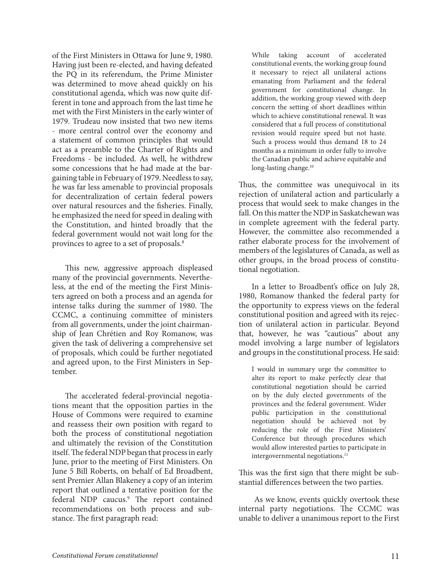of the First Ministers in Ottawa for June 9, 1980. Having just been re-elected, and having defeated the PQ in its referendum, the Prime Minister was determined to move ahead quickly on his constitutional agenda, which was now quite different in tone and approach from the last time he met with the First Ministers in the early winter of 1979. Trudeau now insisted that two new items - more central control over the economy and a statement of common principles that would act as a preamble to the Charter of Rights and Freedoms - be included. As well, he withdrew some concessions that he had made at the bargaining table in February of 1979. Needless to say, he was far less amenable to provincial proposals for decentralization of certain federal powers over natural resources and the fisheries. Finally, he emphasized the need for speed in dealing with the Constitution, and hinted broadly that the federal government would not wait long for the provinces to agree to a set of proposals.8

This new, aggressive approach displeased many of the provincial governments. Nevertheless, at the end of the meeting the First Ministers agreed on both a process and an agenda for intense talks during the summer of 1980. The CCMC, a continuing committee of ministers from all governments, under the joint chairmanship of Jean Chrétien and Roy Romanow, was given the task of delivering a comprehensive set of proposals, which could be further negotiated and agreed upon, to the First Ministers in September.

The accelerated federal-provincial negotiations meant that the opposition parties in the House of Commons were required to examine and reassess their own position with regard to both the process of constitutional negotiation and ultimately the revision of the Constitution itself. The federal NDP began that process in early June, prior to the meeting of First Ministers. On June 5 Bill Roberts, on behalf of Ed Broadbent, sent Premier Allan Blakeney a copy of an interim report that outlined a tentative position for the federal NDP caucus.<sup>9</sup> The report contained recommendations on both process and substance. The first paragraph read:

While taking account of accelerated constitutional events, the working group found it necessary to reject all unilateral actions emanating from Parliament and the federal government for constitutional change. In addition, the working group viewed with deep concern the setting of short deadlines within which to achieve constitutional renewal. It was considered that a full process of constitutional revision would require speed but not haste. Such a process would thus demand 18 to 24 months as a minimum in order fully to involve the Canadian public and achieve equitable and long-lasting change.<sup>10</sup>

Thus, the committee was unequivocal in its rejection of unilateral action and particularly a process that would seek to make changes in the fall. On this matter the NDP in Saskatchewan was in complete agreement with the federal party. However, the committee also recommended a rather elaborate process for the involvement of members of the legislatures of Canada, as well as other groups, in the broad process of constitutional negotiation.

In a letter to Broadbent's office on July 28, 1980, Romanow thanked the federal party for the opportunity to express views on the federal constitutional position and agreed with its rejection of unilateral action in particular. Beyond that, however, he was "cautious" about any model involving a large number of legislators and groups in the constitutional process. He said:

I would in summary urge the committee to alter its report to make perfectly clear that constitutional negotiation should be carried on by the duly elected governments of the provinces and the federal government. Wider public participation in the constitutional negotiation should be achieved not by reducing the role of the First Ministers' Conference but through procedures which would allow interested parties to participate in intergovernmental negotiations.<sup>11</sup>

This was the first sign that there might be substantial differences between the two parties.

As we know, events quickly overtook these internal party negotiations. The CCMC was unable to deliver a unanimous report to the First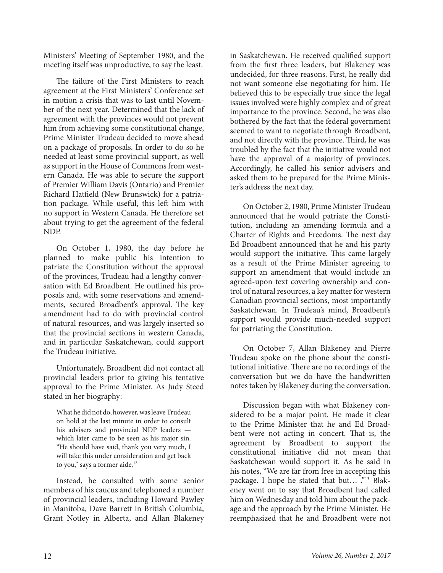Ministers' Meeting of September 1980, and the meeting itself was unproductive, to say the least.

The failure of the First Ministers to reach agreement at the First Ministers' Conference set in motion a crisis that was to last until November of the next year. Determined that the lack of agreement with the provinces would not prevent him from achieving some constitutional change, Prime Minister Trudeau decided to move ahead on a package of proposals. In order to do so he needed at least some provincial support, as well as support in the House of Commons from western Canada. He was able to secure the support of Premier William Davis (Ontario) and Premier Richard Hatfield (New Brunswick) for a patriation package. While useful, this left him with no support in Western Canada. He therefore set about trying to get the agreement of the federal NDP.

On October 1, 1980, the day before he planned to make public his intention to patriate the Constitution without the approval of the provinces, Trudeau had a lengthy conversation with Ed Broadbent. He outlined his proposals and, with some reservations and amendments, secured Broadbent's approval. The key amendment had to do with provincial control of natural resources, and was largely inserted so that the provincial sections in western Canada, and in particular Saskatchewan, could support the Trudeau initiative.

Unfortunately, Broadbent did not contact all provincial leaders prior to giving his tentative approval to the Prime Minister. As Judy Steed stated in her biography:

What he did not do, however, was leave Trudeau on hold at the last minute in order to consult his advisers and provincial NDP leaders which later came to be seen as his major sin. "He should have said, thank you very much, I will take this under consideration and get back to you," says a former aide.<sup>12</sup>

Instead, he consulted with some senior members of his caucus and telephoned a number of provincial leaders, including Howard Pawley in Manitoba, Dave Barrett in British Columbia, Grant Notley in Alberta, and Allan Blakeney

in Saskatchewan. He received qualified support from the first three leaders, but Blakeney was undecided, for three reasons. First, he really did not want someone else negotiating for him. He believed this to be especially true since the legal issues involved were highly complex and of great importance to the province. Second, he was also bothered by the fact that the federal government seemed to want to negotiate through Broadbent, and not directly with the province. Third, he was troubled by the fact that the initiative would not have the approval of a majority of provinces. Accordingly, he called his senior advisers and asked them to be prepared for the Prime Minister's address the next day.

On October 2, 1980, Prime Minister Trudeau announced that he would patriate the Constitution, including an amending formula and a Charter of Rights and Freedoms. The next day Ed Broadbent announced that he and his party would support the initiative. This came largely as a result of the Prime Minister agreeing to support an amendment that would include an agreed-upon text covering ownership and control of natural resources, a key matter for western Canadian provincial sections, most importantly Saskatchewan. In Trudeau's mind, Broadbent's support would provide much-needed support for patriating the Constitution.

On October 7, Allan Blakeney and Pierre Trudeau spoke on the phone about the constitutional initiative. There are no recordings of the conversation but we do have the handwritten notes taken by Blakeney during the conversation.

Discussion began with what Blakeney considered to be a major point. He made it clear to the Prime Minister that he and Ed Broadbent were not acting in concert. That is, the agreement by Broadbent to support the constitutional initiative did not mean that Saskatchewan would support it. As he said in his notes, "We are far from free in accepting this package. I hope he stated that but... ."<sup>13</sup> Blakeney went on to say that Broadbent had called him on Wednesday and told him about the package and the approach by the Prime Minister. He reemphasized that he and Broadbent were not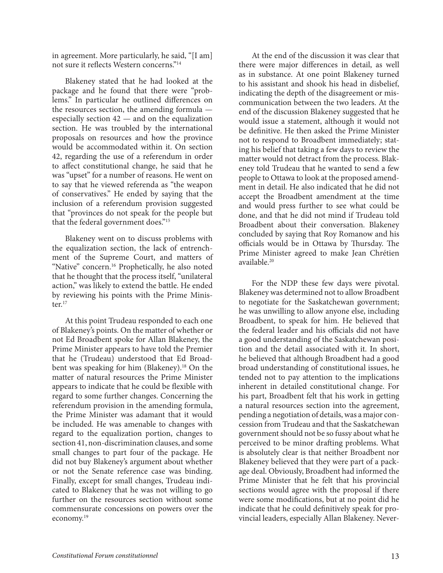in agreement. More particularly, he said, "[I am] not sure it reflects Western concerns."14

Blakeney stated that he had looked at the package and he found that there were "problems." In particular he outlined differences on the resources section, the amending formula especially section 42 — and on the equalization section. He was troubled by the international proposals on resources and how the province would be accommodated within it. On section 42, regarding the use of a referendum in order to affect constitutional change, he said that he was "upset" for a number of reasons. He went on to say that he viewed referenda as "the weapon of conservatives." He ended by saying that the inclusion of a referendum provision suggested that "provinces do not speak for the people but that the federal government does."15

Blakeney went on to discuss problems with the equalization section, the lack of entrenchment of the Supreme Court, and matters of "Native" concern.16 Prophetically, he also noted that he thought that the process itself, "unilateral action," was likely to extend the battle. He ended by reviewing his points with the Prime Minister $17$ 

At this point Trudeau responded to each one of Blakeney's points. On the matter of whether or not Ed Broadbent spoke for Allan Blakeney, the Prime Minister appears to have told the Premier that he (Trudeau) understood that Ed Broadbent was speaking for him (Blakeney).<sup>18</sup> On the matter of natural resources the Prime Minister appears to indicate that he could be flexible with regard to some further changes. Concerning the referendum provision in the amending formula, the Prime Minister was adamant that it would be included. He was amenable to changes with regard to the equalization portion, changes to section 41, non-discrimination clauses, and some small changes to part four of the package. He did not buy Blakeney's argument about whether or not the Senate reference case was binding. Finally, except for small changes, Trudeau indicated to Blakeney that he was not willing to go further on the resources section without some commensurate concessions on powers over the economy.19

At the end of the discussion it was clear that there were major differences in detail, as well as in substance. At one point Blakeney turned to his assistant and shook his head in disbelief, indicating the depth of the disagreement or miscommunication between the two leaders. At the end of the discussion Blakeney suggested that he would issue a statement, although it would not be definitive. He then asked the Prime Minister not to respond to Broadbent immediately; stating his belief that taking a few days to review the matter would not detract from the process. Blakeney told Trudeau that he wanted to send a few people to Ottawa to look at the proposed amendment in detail. He also indicated that he did not accept the Broadbent amendment at the time and would press further to see what could be done, and that he did not mind if Trudeau told Broadbent about their conversation. Blakeney concluded by saying that Roy Romanow and his officials would be in Ottawa by Thursday. The Prime Minister agreed to make Jean Chrétien available.20

For the NDP these few days were pivotal. Blakeney was determined not to allow Broadbent to negotiate for the Saskatchewan government; he was unwilling to allow anyone else, including Broadbent, to speak for him. He believed that the federal leader and his officials did not have a good understanding of the Saskatchewan position and the detail associated with it. In short, he believed that although Broadbent had a good broad understanding of constitutional issues, he tended not to pay attention to the implications inherent in detailed constitutional change. For his part, Broadbent felt that his work in getting a natural resources section into the agreement, pending a negotiation of details, was a major concession from Trudeau and that the Saskatchewan government should not be so fussy about what he perceived to be minor drafting problems. What is absolutely clear is that neither Broadbent nor Blakeney believed that they were part of a package deal. Obviously, Broadbent had informed the Prime Minister that he felt that his provincial sections would agree with the proposal if there were some modifications, but at no point did he indicate that he could definitively speak for provincial leaders, especially Allan Blakeney. Never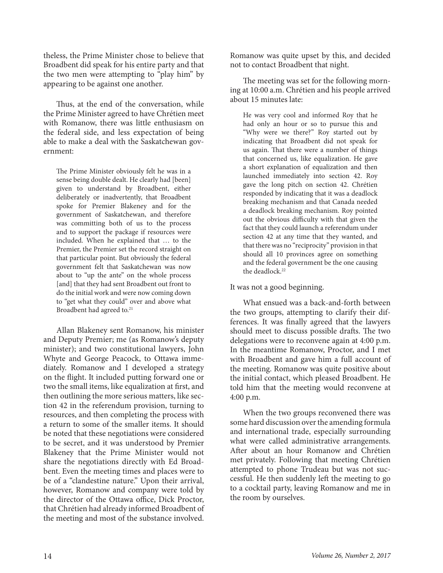theless, the Prime Minister chose to believe that Broadbent did speak for his entire party and that the two men were attempting to "play him" by appearing to be against one another.

Thus, at the end of the conversation, while the Prime Minister agreed to have Chrétien meet with Romanow, there was little enthusiasm on the federal side, and less expectation of being able to make a deal with the Saskatchewan government:

The Prime Minister obviously felt he was in a sense being double dealt. He clearly had [been] given to understand by Broadbent, either deliberately or inadvertently, that Broadbent spoke for Premier Blakeney and for the government of Saskatchewan, and therefore was committing both of us to the process and to support the package if resources were included. When he explained that … to the Premier, the Premier set the record straight on that particular point. But obviously the federal government felt that Saskatchewan was now about to "up the ante" on the whole process [and] that they had sent Broadbent out front to do the initial work and were now coming down to "get what they could" over and above what Broadbent had agreed to.<sup>21</sup>

Allan Blakeney sent Romanow, his minister and Deputy Premier; me (as Romanow's deputy minister); and two constitutional lawyers, John Whyte and George Peacock, to Ottawa immediately. Romanow and I developed a strategy on the flight. It included putting forward one or two the small items, like equalization at first, and then outlining the more serious matters, like section 42 in the referendum provision, turning to resources, and then completing the process with a return to some of the smaller items. It should be noted that these negotiations were considered to be secret, and it was understood by Premier Blakeney that the Prime Minister would not share the negotiations directly with Ed Broadbent. Even the meeting times and places were to be of a "clandestine nature." Upon their arrival, however, Romanow and company were told by the director of the Ottawa office, Dick Proctor, that Chrétien had already informed Broadbent of the meeting and most of the substance involved.

Romanow was quite upset by this, and decided not to contact Broadbent that night.

The meeting was set for the following morning at 10:00 a.m. Chrétien and his people arrived about 15 minutes late:

He was very cool and informed Roy that he had only an hour or so to pursue this and "Why were we there?" Roy started out by indicating that Broadbent did not speak for us again. That there were a number of things that concerned us, like equalization. He gave a short explanation of equalization and then launched immediately into section 42. Roy gave the long pitch on section 42. Chrétien responded by indicating that it was a deadlock breaking mechanism and that Canada needed a deadlock breaking mechanism. Roy pointed out the obvious difficulty with that given the fact that they could launch a referendum under section 42 at any time that they wanted, and that there was no "reciprocity" provision in that should all 10 provinces agree on something and the federal government be the one causing the deadlock.<sup>22</sup>

It was not a good beginning.

What ensued was a back-and-forth between the two groups, attempting to clarify their differences. It was finally agreed that the lawyers should meet to discuss possible drafts. The two delegations were to reconvene again at 4:00 p.m. In the meantime Romanow, Proctor, and I met with Broadbent and gave him a full account of the meeting. Romanow was quite positive about the initial contact, which pleased Broadbent. He told him that the meeting would reconvene at 4:00 p.m.

When the two groups reconvened there was some hard discussion over the amending formula and international trade, especially surrounding what were called administrative arrangements. After about an hour Romanow and Chrétien met privately. Following that meeting Chrétien attempted to phone Trudeau but was not successful. He then suddenly left the meeting to go to a cocktail party, leaving Romanow and me in the room by ourselves.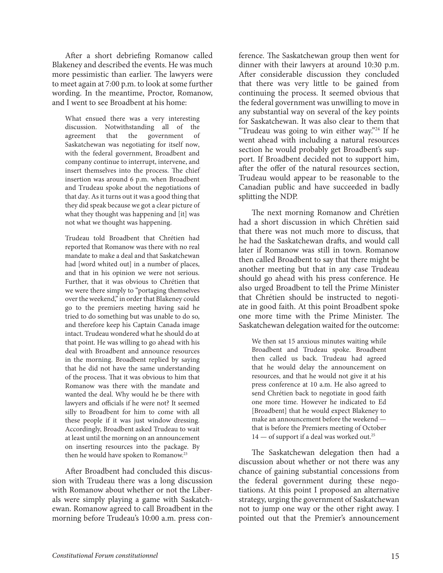After a short debriefing Romanow called Blakeney and described the events. He was much more pessimistic than earlier. The lawyers were to meet again at 7:00 p.m. to look at some further wording. In the meantime, Proctor, Romanow, and I went to see Broadbent at his home:

What ensued there was a very interesting discussion. Notwithstanding all of the agreement that the government of Saskatchewan was negotiating for itself now, with the federal government, Broadbent and company continue to interrupt, intervene, and insert themselves into the process. The chief insertion was around 6 p.m. when Broadbent and Trudeau spoke about the negotiations of that day. As it turns out it was a good thing that they did speak because we got a clear picture of what they thought was happening and [it] was not what we thought was happening.

Trudeau told Broadbent that Chrétien had reported that Romanow was there with no real mandate to make a deal and that Saskatchewan had [word whited out] in a number of places, and that in his opinion we were not serious. Further, that it was obvious to Chrétien that we were there simply to "portaging themselves over the weekend," in order that Blakeney could go to the premiers meeting having said he tried to do something but was unable to do so, and therefore keep his Captain Canada image intact. Trudeau wondered what he should do at that point. He was willing to go ahead with his deal with Broadbent and announce resources in the morning. Broadbent replied by saying that he did not have the same understanding of the process. That it was obvious to him that Romanow was there with the mandate and wanted the deal. Why would he be there with lawyers and officials if he were not? It seemed silly to Broadbent for him to come with all these people if it was just window dressing. Accordingly, Broadbent asked Trudeau to wait at least until the morning on an announcement on inserting resources into the package. By then he would have spoken to Romanow.<sup>23</sup>

After Broadbent had concluded this discussion with Trudeau there was a long discussion with Romanow about whether or not the Liberals were simply playing a game with Saskatchewan. Romanow agreed to call Broadbent in the morning before Trudeau's 10:00 a.m. press conference. The Saskatchewan group then went for dinner with their lawyers at around 10:30 p.m. After considerable discussion they concluded that there was very little to be gained from continuing the process. It seemed obvious that the federal government was unwilling to move in any substantial way on several of the key points for Saskatchewan. It was also clear to them that "Trudeau was going to win either way."24 If he went ahead with including a natural resources section he would probably get Broadbent's support. If Broadbent decided not to support him, after the offer of the natural resources section, Trudeau would appear to be reasonable to the Canadian public and have succeeded in badly splitting the NDP.

The next morning Romanow and Chrétien had a short discussion in which Chrétien said that there was not much more to discuss, that he had the Saskatchewan drafts, and would call later if Romanow was still in town. Romanow then called Broadbent to say that there might be another meeting but that in any case Trudeau should go ahead with his press conference. He also urged Broadbent to tell the Prime Minister that Chrétien should be instructed to negotiate in good faith. At this point Broadbent spoke one more time with the Prime Minister. The Saskatchewan delegation waited for the outcome:

We then sat 15 anxious minutes waiting while Broadbent and Trudeau spoke. Broadbent then called us back. Trudeau had agreed that he would delay the announcement on resources, and that he would not give it at his press conference at 10 a.m. He also agreed to send Chrétien back to negotiate in good faith one more time. However he indicated to Ed [Broadbent] that he would expect Blakeney to make an announcement before the weekend that is before the Premiers meeting of October 14 — of support if a deal was worked out.<sup>25</sup>

The Saskatchewan delegation then had a discussion about whether or not there was any chance of gaining substantial concessions from the federal government during these negotiations. At this point I proposed an alternative strategy, urging the government of Saskatchewan not to jump one way or the other right away. I pointed out that the Premier's announcement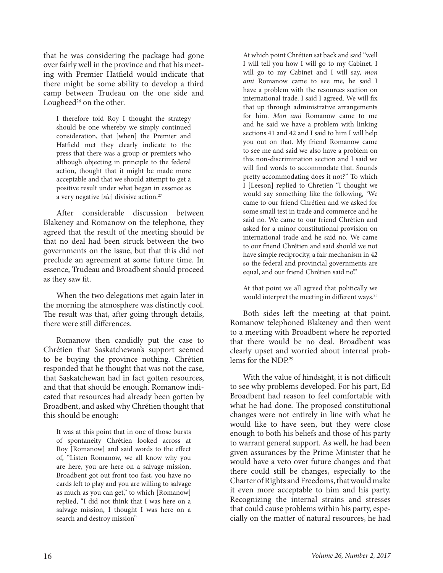that he was considering the package had gone over fairly well in the province and that his meeting with Premier Hatfield would indicate that there might be some ability to develop a third camp between Trudeau on the one side and Lougheed<sup>26</sup> on the other.

I therefore told Roy I thought the strategy should be one whereby we simply continued consideration, that [when] the Premier and Hatfield met they clearly indicate to the press that there was a group or premiers who although objecting in principle to the federal action, thought that it might be made more acceptable and that we should attempt to get a positive result under what began in essence as a very negative [*sic*] divisive action.27

After considerable discussion between Blakeney and Romanow on the telephone, they agreed that the result of the meeting should be that no deal had been struck between the two governments on the issue, but that this did not preclude an agreement at some future time. In essence, Trudeau and Broadbent should proceed as they saw fit.

When the two delegations met again later in the morning the atmosphere was distinctly cool. The result was that, after going through details, there were still differences.

Romanow then candidly put the case to Chrétien that Saskatchewan's support seemed to be buying the province nothing. Chrétien responded that he thought that was not the case, that Saskatchewan had in fact gotten resources, and that that should be enough. Romanow indicated that resources had already been gotten by Broadbent, and asked why Chrétien thought that this should be enough:

It was at this point that in one of those bursts of spontaneity Chrétien looked across at Roy [Romanow] and said words to the effect of, "Listen Romanow, we all know why you are here, you are here on a salvage mission, Broadbent got out front too fast, you have no cards left to play and you are willing to salvage as much as you can get," to which [Romanow] replied, "I did not think that I was here on a salvage mission, I thought I was here on a search and destroy mission"

At which point Chrétien sat back and said "well I will tell you how I will go to my Cabinet. I will go to my Cabinet and I will say, *mon ami* Romanow came to see me, he said I have a problem with the resources section on international trade. I said I agreed. We will fix that up through administrative arrangements for him. *Mon ami* Romanow came to me and he said we have a problem with linking sections 41 and 42 and I said to him I will help you out on that. My friend Romanow came to see me and said we also have a problem on this non-discrimination section and I said we will find words to accommodate that. Sounds pretty accommodating does it not?" To which I [Leeson] replied to Chretien "I thought we would say something like the following, 'We came to our friend Chrétien and we asked for some small test in trade and commerce and he said no. We came to our friend Chrétien and asked for a minor constitutional provision on international trade and he said no. We came to our friend Chrétien and said should we not have simple reciprocity, a fair mechanism in 42 so the federal and provincial governments are equal, and our friend Chrétien said no."

At that point we all agreed that politically we would interpret the meeting in different ways.<sup>28</sup>

Both sides left the meeting at that point. Romanow telephoned Blakeney and then went to a meeting with Broadbent where he reported that there would be no deal. Broadbent was clearly upset and worried about internal problems for the NDP.29

With the value of hindsight, it is not difficult to see why problems developed. For his part, Ed Broadbent had reason to feel comfortable with what he had done. The proposed constitutional changes were not entirely in line with what he would like to have seen, but they were close enough to both his beliefs and those of his party to warrant general support. As well, he had been given assurances by the Prime Minister that he would have a veto over future changes and that there could still be changes, especially to the Charter of Rights and Freedoms, that would make it even more acceptable to him and his party. Recognizing the internal strains and stresses that could cause problems within his party, especially on the matter of natural resources, he had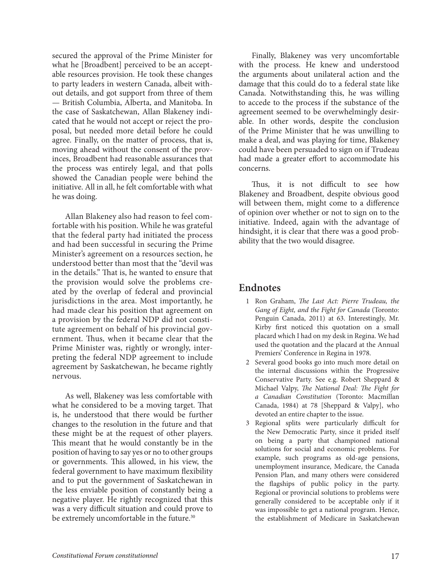secured the approval of the Prime Minister for what he [Broadbent] perceived to be an acceptable resources provision. He took these changes to party leaders in western Canada, albeit without details, and got support from three of them — British Columbia, Alberta, and Manitoba. In the case of Saskatchewan, Allan Blakeney indicated that he would not accept or reject the proposal, but needed more detail before he could agree. Finally, on the matter of process, that is, moving ahead without the consent of the provinces, Broadbent had reasonable assurances that the process was entirely legal, and that polls showed the Canadian people were behind the initiative. All in all, he felt comfortable with what he was doing.

Allan Blakeney also had reason to feel comfortable with his position. While he was grateful that the federal party had initiated the process and had been successful in securing the Prime Minister's agreement on a resources section, he understood better than most that the "devil was in the details." That is, he wanted to ensure that the provision would solve the problems created by the overlap of federal and provincial jurisdictions in the area. Most importantly, he had made clear his position that agreement on a provision by the federal NDP did not constitute agreement on behalf of his provincial government. Thus, when it became clear that the Prime Minister was, rightly or wrongly, interpreting the federal NDP agreement to include agreement by Saskatchewan, he became rightly nervous.

As well, Blakeney was less comfortable with what he considered to be a moving target. That is, he understood that there would be further changes to the resolution in the future and that these might be at the request of other players. This meant that he would constantly be in the position of having to say yes or no to other groups or governments. This allowed, in his view, the federal government to have maximum flexibility and to put the government of Saskatchewan in the less enviable position of constantly being a negative player. He rightly recognized that this was a very difficult situation and could prove to be extremely uncomfortable in the future.<sup>30</sup>

Finally, Blakeney was very uncomfortable with the process. He knew and understood the arguments about unilateral action and the damage that this could do to a federal state like Canada. Notwithstanding this, he was willing to accede to the process if the substance of the agreement seemed to be overwhelmingly desirable. In other words, despite the conclusion of the Prime Minister that he was unwilling to make a deal, and was playing for time, Blakeney could have been persuaded to sign on if Trudeau had made a greater effort to accommodate his concerns.

Thus, it is not difficult to see how Blakeney and Broadbent, despite obvious good will between them, might come to a difference of opinion over whether or not to sign on to the initiative. Indeed, again with the advantage of hindsight, it is clear that there was a good probability that the two would disagree.

## **Endnotes**

- 1 Ron Graham, *The Last Act: Pierre Trudeau, the Gang of Eight, and the Fight for Canada* (Toronto: Penguin Canada, 2011) at 63. Interestingly, Mr. Kirby first noticed this quotation on a small placard which I had on my desk in Regina. We had used the quotation and the placard at the Annual Premiers' Conference in Regina in 1978.
- 2 Several good books go into much more detail on the internal discussions within the Progressive Conservative Party. See e.g. Robert Sheppard & Michael Valpy, *The National Deal: The Fight for a Canadian Constitution* (Toronto: Macmillan Canada, 1984) at 78 [Sheppard & Valpy], who devoted an entire chapter to the issue.
- 3 Regional splits were particularly difficult for the New Democratic Party, since it prided itself on being a party that championed national solutions for social and economic problems. For example, such programs as old-age pensions, unemployment insurance, Medicare, the Canada Pension Plan, and many others were considered the flagships of public policy in the party. Regional or provincial solutions to problems were generally considered to be acceptable only if it was impossible to get a national program. Hence, the establishment of Medicare in Saskatchewan